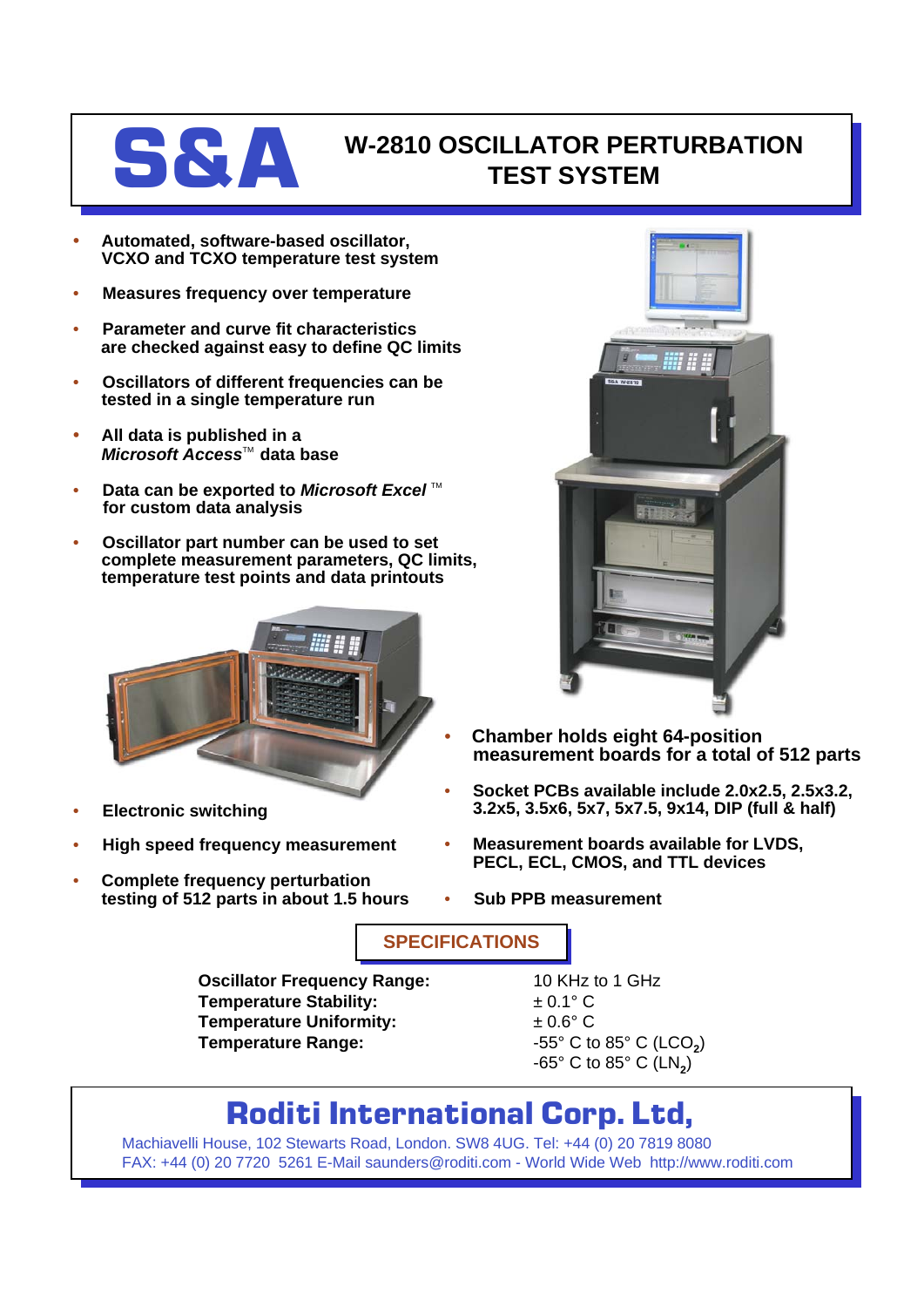

## **S&A** W-2810 OSCILLATOR PERTURBATION **TEST SYSTEM**

- **Automated, software-based oscillator, VCXO and TCXO temperature test system**
- **Measures frequency over temperature**
- **Parameter and curve fit characteristics are checked against easy to define QC limits**
- **Oscillators of different frequencies can be tested in a single temperature run**
- **All data is published in a** *Microsoft Access*<sup>™</sup> data base
- **Data can be exported to Microsoft Excel**™ **for custom data analysis**
- **Oscillator part number can be used to set complete measurement parameters, QC limits, temperature test points and data printouts**



- **Electronic switching**
- **High speed frequency measurement**
- **Complete frequency perturbation testing of 512 parts in about 1.5 hours**



- **Chamber holds eight 64-position measurement boards for a total of 512 parts**
- **Socket PCBs available include 2.0x2.5, 2.5x3.2, 3.2x5, 3.5x6, 5x7, 5x7.5, 9x14, DIP (full & half)**
- **Measurement boards available for LVDS, PECL, ECL, CMOS, and TTL devices**
- **Sub PPB measurement**

**SPECIFICATIONS**

**Oscillator Frequency Range:** 10 KHz to 1 GHz **Temperature Stability:**  $\qquad 20.1^{\circ} \text{ C}$ **Temperature Uniformity:**  $\pm 0.6^{\circ}$  C **Temperature Range:**  $-55^{\circ}$  C to 85° C (LCO<sub>2</sub>)

 $-65^\circ$  C to  $85^\circ$  C (LN<sub>2</sub>)

## **Roditi International Corp. Ltd,**

Machiavelli House, 102 Stewarts Road, London. SW8 4UG. Tel: +44 (0) 20 7819 8080 FAX: +44 (0) 20 7720 5261 E-Mail saunders@roditi.com - World Wide Web http://www.roditi.com